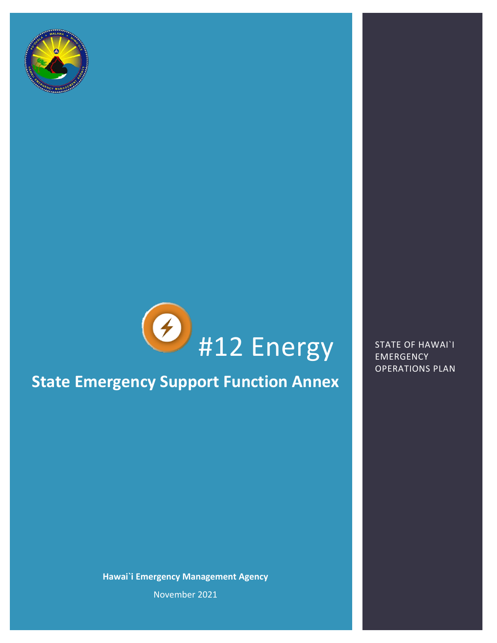



## **State Emergency Support Function Annex**

**Hawai`i Emergency Management Agency**

EMERGENCY OPERATIONS PLAN

November 2021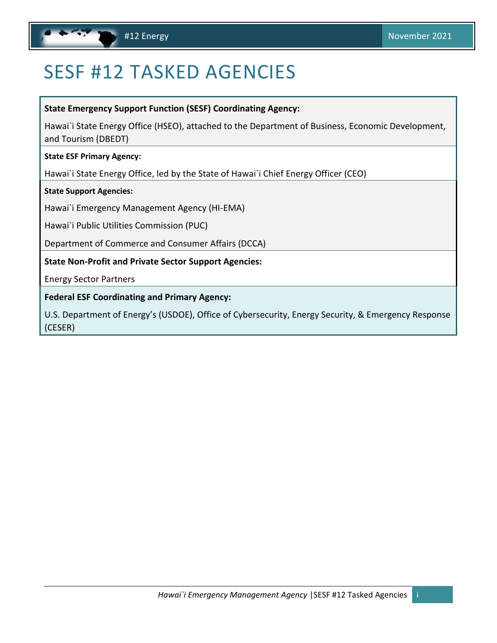# <span id="page-1-1"></span><span id="page-1-0"></span>SESF #12 TASKED AGENCIES

**State Emergency Support Function (SESF) Coordinating Agency:** 

Hawai`i State Energy Office (HSEO), attached to the Department of Business, Economic Development, and Tourism (DBEDT)

**State ESF Primary Agency:** 

Hawai`i State Energy Office, led by the State of Hawai`i Chief Energy Officer (CEO)

**State Support Agencies:** 

Hawai`i Emergency Management Agency (HI-EMA)

Hawai`i Public Utilities Commission (PUC)

Department of Commerce and Consumer Affairs (DCCA)

**State Non-Profit and Private Sector Support Agencies:**

Energy Sector Partners

**Federal ESF Coordinating and Primary Agency:**

U.S. Department of Energy's (USDOE), Office of Cybersecurity, Energy Security, & Emergency Response (CESER)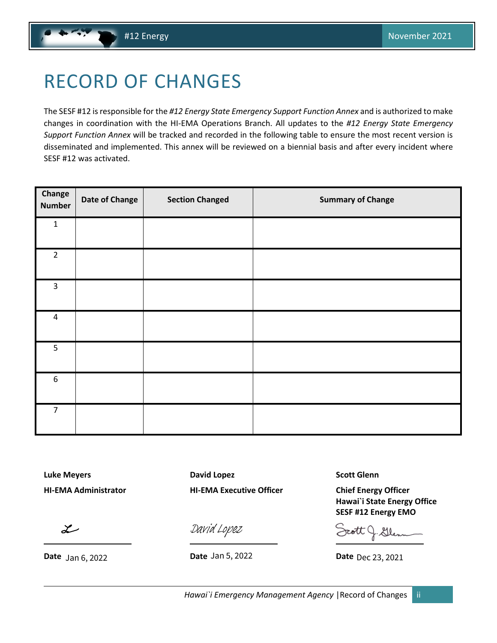# <span id="page-2-1"></span><span id="page-2-0"></span>RECORD OF CHANGES

The SESF #12 is responsible for the *#12 Energy State Emergency Support Function Annex* and is authorized to make changes in coordination with the HI-EMA Operations Branch. All updates to the *#12 Energy State Emergency Support Function Annex* will be tracked and recorded in the following table to ensure the most recent version is disseminated and implemented. This annex will be reviewed on a biennial basis and after every incident where SESF #12 was activated.

| Change<br><b>Number</b> | <b>Date of Change</b> | <b>Section Changed</b> | <b>Summary of Change</b> |
|-------------------------|-----------------------|------------------------|--------------------------|
| $\mathbf 1$             |                       |                        |                          |
| $\overline{2}$          |                       |                        |                          |
| 3                       |                       |                        |                          |
| $\overline{4}$          |                       |                        |                          |
| 5                       |                       |                        |                          |
| $\boldsymbol{6}$        |                       |                        |                          |
| $\overline{7}$          |                       |                        |                          |

**Luke Meyers David Lopez Scott Glenn HI-EMA Administrator HI-EMA Executive Officer Chief Energy Officer**

 $\mathcal{Z}$ 

**Date Date Date**

[David Lopez](https://stateofhawaii.na1.adobesign.com/verifier?tx=CBJCHBCAABAA-IDiiGlrF-VLP76Co-0Neg-txE3s4ql1)

Date Jan 5, 2022

**Hawai`i State Energy Office SESF #12 Energy EMO**

Date Dec 23, 2021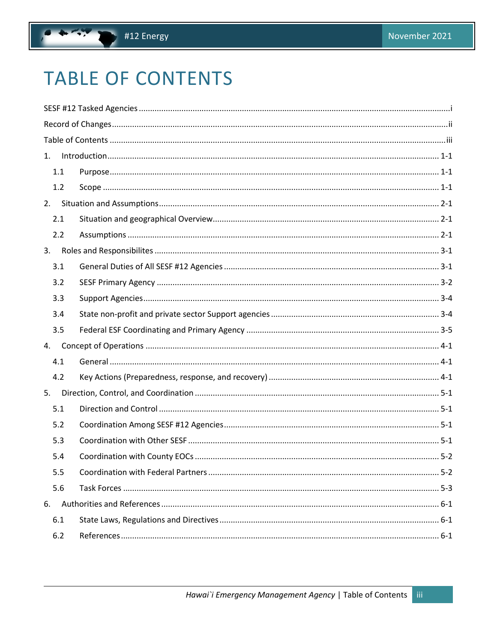# <span id="page-3-0"></span>**TABLE OF CONTENTS**

| 1. |     |  |  |
|----|-----|--|--|
|    | 1.1 |  |  |
|    | 1.2 |  |  |
| 2. |     |  |  |
|    | 2.1 |  |  |
|    | 2.2 |  |  |
| 3. |     |  |  |
|    | 3.1 |  |  |
|    | 3.2 |  |  |
|    | 3.3 |  |  |
|    | 3.4 |  |  |
|    | 3.5 |  |  |
| 4. |     |  |  |
|    | 4.1 |  |  |
|    | 4.2 |  |  |
| 5. |     |  |  |
|    | 5.1 |  |  |
|    | 5.2 |  |  |
|    | 5.3 |  |  |
|    | 5.4 |  |  |
|    | 5.5 |  |  |
|    | 5.6 |  |  |
| 6. |     |  |  |
|    | 6.1 |  |  |
|    | 6.2 |  |  |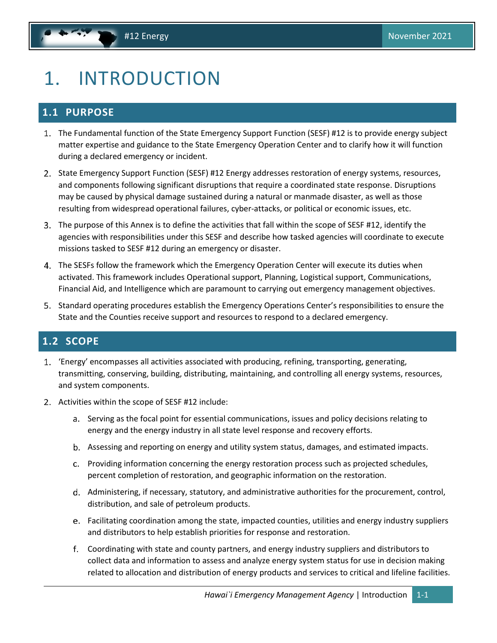# <span id="page-4-3"></span><span id="page-4-0"></span>1. INTRODUCTION

## <span id="page-4-1"></span>**1.1 PURPOSE**

- 1. The Fundamental function of the State Emergency Support Function (SESF) #12 is to provide energy subject matter expertise and guidance to the State Emergency Operation Center and to clarify how it will function during a declared emergency or incident.
- 2. State Emergency Support Function (SESF) #12 Energy addresses restoration of energy systems, resources, and components following significant disruptions that require a coordinated state response. Disruptions may be caused by physical damage sustained during a natural or manmade disaster, as well as those resulting from widespread operational failures, cyber-attacks, or political or economic issues, etc.
- The purpose of this Annex is to define the activities that fall within the scope of SESF #12, identify the agencies with responsibilities under this SESF and describe how tasked agencies will coordinate to execute missions tasked to SESF #12 during an emergency or disaster.
- The SESFs follow the framework which the Emergency Operation Center will execute its duties when activated. This framework includes Operational support, Planning, Logistical support, Communications, Financial Aid, and Intelligence which are paramount to carrying out emergency management objectives.
- Standard operating procedures establish the Emergency Operations Center's responsibilities to ensure the State and the Counties receive support and resources to respond to a declared emergency.

### <span id="page-4-2"></span>**1.2 SCOPE**

- 'Energy' encompasses all activities associated with producing, refining, transporting, generating, transmitting, conserving, building, distributing, maintaining, and controlling all energy systems, resources, and system components.
- 2. Activities within the scope of SESF #12 include:
	- a. Serving as the focal point for essential communications, issues and policy decisions relating to energy and the energy industry in all state level response and recovery efforts.
	- Assessing and reporting on energy and utility system status, damages, and estimated impacts.
	- Providing information concerning the energy restoration process such as projected schedules, percent completion of restoration, and geographic information on the restoration.
	- d. Administering, if necessary, statutory, and administrative authorities for the procurement, control, distribution, and sale of petroleum products.
	- Facilitating coordination among the state, impacted counties, utilities and energy industry suppliers and distributors to help establish priorities for response and restoration.
	- Coordinating with state and county partners, and energy industry suppliers and distributors to collect data and information to assess and analyze energy system status for use in decision making related to allocation and distribution of energy products and services to critical and lifeline facilities.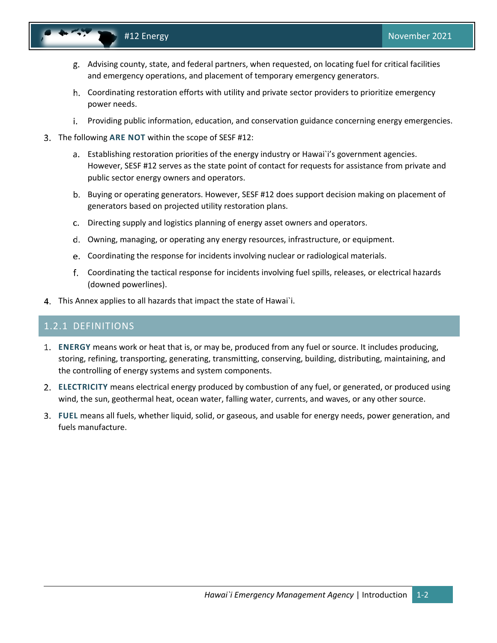- 
- Advising county, state, and federal partners, when requested, on locating fuel for critical facilities and emergency operations, and placement of temporary emergency generators.
- Coordinating restoration efforts with utility and private sector providers to prioritize emergency power needs.
- i. Providing public information, education, and conservation guidance concerning energy emergencies.
- The following **ARE NOT** within the scope of SESF #12:
	- Establishing restoration priorities of the energy industry or Hawai`i's government agencies. However, SESF #12 serves as the state point of contact for requests for assistance from private and public sector energy owners and operators.
	- b. Buying or operating generators. However, SESF #12 does support decision making on placement of generators based on projected utility restoration plans.
	- Directing supply and logistics planning of energy asset owners and operators.
	- Owning, managing, or operating any energy resources, infrastructure, or equipment.
	- Coordinating the response for incidents involving nuclear or radiological materials.
	- Coordinating the tactical response for incidents involving fuel spills, releases, or electrical hazards (downed powerlines).
- This Annex applies to all hazards that impact the state of Hawai`i.

### 1.2.1 DEFINITIONS

- **ENERGY** means work or heat that is, or may be, produced from any fuel or source. It includes producing, storing, refining, transporting, generating, transmitting, conserving, building, distributing, maintaining, and the controlling of energy systems and system components.
- **ELECTRICITY** means electrical energy produced by combustion of any fuel, or generated, or produced using wind, the sun, geothermal heat, ocean water, falling water, currents, and waves, or any other source.
- **FUEL** means all fuels, whether liquid, solid, or gaseous, and usable for energy needs, power generation, and fuels manufacture.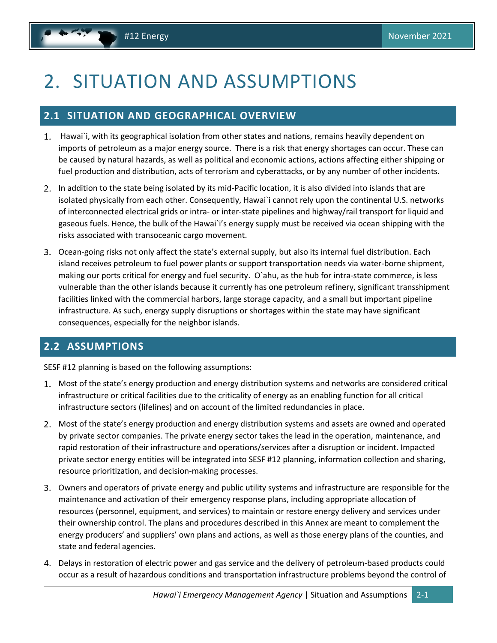# <span id="page-6-3"></span><span id="page-6-0"></span>2. SITUATION AND ASSUMPTIONS

### <span id="page-6-1"></span>**2.1 SITUATION AND GEOGRAPHICAL OVERVIEW**

- Hawai`i, with its geographical isolation from other states and nations, remains heavily dependent on imports of petroleum as a major energy source. There is a risk that energy shortages can occur. These can be caused by natural hazards, as well as political and economic actions, actions affecting either shipping or fuel production and distribution, acts of terrorism and cyberattacks, or by any number of other incidents.
- In addition to the state being isolated by its mid-Pacific location, it is also divided into islands that are isolated physically from each other. Consequently, Hawai`i cannot rely upon the continental U.S. networks of interconnected electrical grids or intra- or inter-state pipelines and highway/rail transport for liquid and gaseous fuels. Hence, the bulk of the Hawai`i's energy supply must be received via ocean shipping with the risks associated with transoceanic cargo movement.
- Ocean-going risks not only affect the state's external supply, but also its internal fuel distribution. Each island receives petroleum to fuel power plants or support transportation needs via water-borne shipment, making our ports critical for energy and fuel security. O`ahu, as the hub for intra-state commerce, is less vulnerable than the other islands because it currently has one petroleum refinery, significant transshipment facilities linked with the commercial harbors, large storage capacity, and a small but important pipeline infrastructure. As such, energy supply disruptions or shortages within the state may have significant consequences, especially for the neighbor islands.

## <span id="page-6-2"></span>**2.2 ASSUMPTIONS**

SESF #12 planning is based on the following assumptions:

- Most of the state's energy production and energy distribution systems and networks are considered critical infrastructure or critical facilities due to the criticality of energy as an enabling function for all critical infrastructure sectors (lifelines) and on account of the limited redundancies in place.
- Most of the state's energy production and energy distribution systems and assets are owned and operated by private sector companies. The private energy sector takes the lead in the operation, maintenance, and rapid restoration of their infrastructure and operations/services after a disruption or incident. Impacted private sector energy entities will be integrated into SESF #12 planning, information collection and sharing, resource prioritization, and decision-making processes.
- Owners and operators of private energy and public utility systems and infrastructure are responsible for the maintenance and activation of their emergency response plans, including appropriate allocation of resources (personnel, equipment, and services) to maintain or restore energy delivery and services under their ownership control. The plans and procedures described in this Annex are meant to complement the energy producers' and suppliers' own plans and actions, as well as those energy plans of the counties, and state and federal agencies.
- Delays in restoration of electric power and gas service and the delivery of petroleum-based products could occur as a result of hazardous conditions and transportation infrastructure problems beyond the control of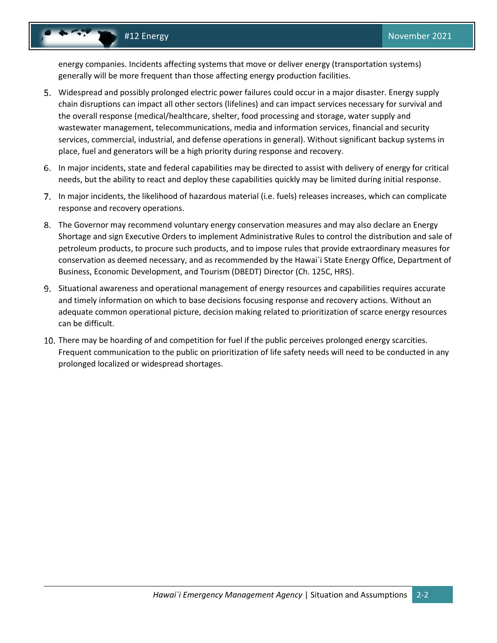energy companies. Incidents affecting systems that move or deliver energy (transportation systems) generally will be more frequent than those affecting energy production facilities.

- Widespread and possibly prolonged electric power failures could occur in a major disaster. Energy supply chain disruptions can impact all other sectors (lifelines) and can impact services necessary for survival and the overall response (medical/healthcare, shelter, food processing and storage, water supply and wastewater management, telecommunications, media and information services, financial and security services, commercial, industrial, and defense operations in general). Without significant backup systems in place, fuel and generators will be a high priority during response and recovery.
- In major incidents, state and federal capabilities may be directed to assist with delivery of energy for critical needs, but the ability to react and deploy these capabilities quickly may be limited during initial response.
- In major incidents, the likelihood of hazardous material (i.e. fuels) releases increases, which can complicate response and recovery operations.
- The Governor may recommend voluntary energy conservation measures and may also declare an Energy Shortage and sign Executive Orders to implement Administrative Rules to control the distribution and sale of petroleum products, to procure such products, and to impose rules that provide extraordinary measures for conservation as deemed necessary, and as recommended by the Hawai`i State Energy Office, Department of Business, Economic Development, and Tourism (DBEDT) Director (Ch. 125C, HRS).
- Situational awareness and operational management of energy resources and capabilities requires accurate and timely information on which to base decisions focusing response and recovery actions. Without an adequate common operational picture, decision making related to prioritization of scarce energy resources can be difficult.
- 10. There may be hoarding of and competition for fuel if the public perceives prolonged energy scarcities. Frequent communication to the public on prioritization of life safety needs will need to be conducted in any prolonged localized or widespread shortages.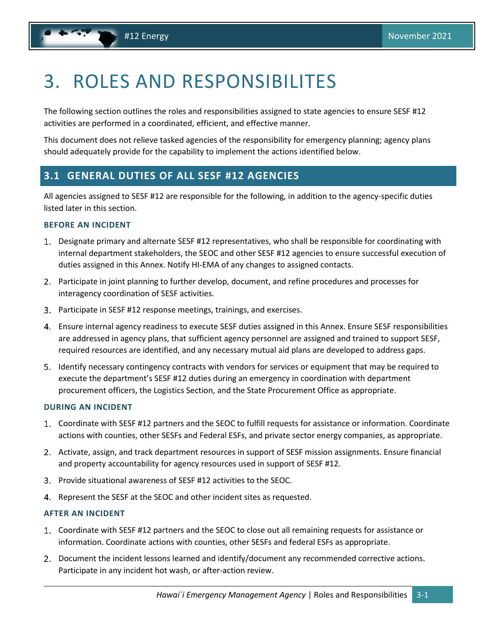# <span id="page-8-2"></span><span id="page-8-0"></span>3. ROLES AND RESPONSIBILITES

The following section outlines the roles and responsibilities assigned to state agencies to ensure SESF #12 activities are performed in a coordinated, efficient, and effective manner.

This document does not relieve tasked agencies of the responsibility for emergency planning; agency plans should adequately provide for the capability to implement the actions identified below.

### <span id="page-8-1"></span>**3.1 GENERAL DUTIES OF ALL SESF #12 AGENCIES**

All agencies assigned to SESF #12 are responsible for the following, in addition to the agency-specific duties listed later in this section.

### **BEFORE AN INCIDENT**

- Designate primary and alternate SESF #12 representatives, who shall be responsible for coordinating with internal department stakeholders, the SEOC and other SESF #12 agencies to ensure successful execution of duties assigned in this Annex. Notify HI-EMA of any changes to assigned contacts.
- Participate in joint planning to further develop, document, and refine procedures and processes for interagency coordination of SESF activities.
- Participate in SESF #12 response meetings, trainings, and exercises.
- Ensure internal agency readiness to execute SESF duties assigned in this Annex. Ensure SESF responsibilities are addressed in agency plans, that sufficient agency personnel are assigned and trained to support SESF, required resources are identified, and any necessary mutual aid plans are developed to address gaps.
- Identify necessary contingency contracts with vendors for services or equipment that may be required to execute the department's SESF #12 duties during an emergency in coordination with department procurement officers, the Logistics Section, and the State Procurement Office as appropriate.

### **DURING AN INCIDENT**

- Coordinate with SESF #12 partners and the SEOC to fulfill requests for assistance or information. Coordinate actions with counties, other SESFs and Federal ESFs, and private sector energy companies, as appropriate.
- 2. Activate, assign, and track department resources in support of SESF mission assignments. Ensure financial and property accountability for agency resources used in support of SESF #12.
- Provide situational awareness of SESF #12 activities to the SEOC.
- 4. Represent the SESF at the SEOC and other incident sites as requested.

### **AFTER AN INCIDENT**

- Coordinate with SESF #12 partners and the SEOC to close out all remaining requests for assistance or information. Coordinate actions with counties, other SESFs and federal ESFs as appropriate.
- Document the incident lessons learned and identify/document any recommended corrective actions. Participate in any incident hot wash, or after-action review.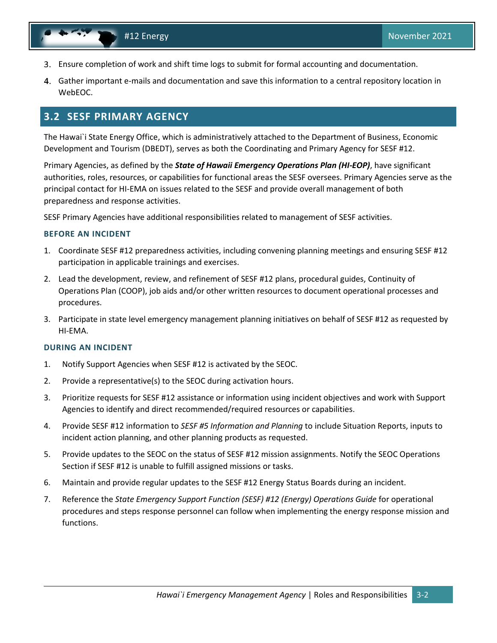- <span id="page-9-1"></span>Ensure completion of work and shift time logs to submit for formal accounting and documentation.
- Gather important e-mails and documentation and save this information to a central repository location in WebEOC.

### <span id="page-9-0"></span>**3.2 SESF PRIMARY AGENCY**

The Hawai`i State Energy Office, which is administratively attached to the Department of Business, Economic Development and Tourism (DBEDT), serves as both the Coordinating and Primary Agency for SESF #12.

Primary Agencies, as defined by the *State of Hawaii Emergency Operations Plan (HI-EOP)*, have significant authorities, roles, resources, or capabilities for functional areas the SESF oversees. Primary Agencies serve as the principal contact for HI-EMA on issues related to the SESF and provide overall management of both preparedness and response activities.

SESF Primary Agencies have additional responsibilities related to management of SESF activities.

### **BEFORE AN INCIDENT**

- 1. Coordinate SESF #12 preparedness activities, including convening planning meetings and ensuring SESF #12 participation in applicable trainings and exercises.
- 2. Lead the development, review, and refinement of SESF #12 plans, procedural guides, Continuity of Operations Plan (COOP), job aids and/or other written resources to document operational processes and procedures.
- 3. Participate in state level emergency management planning initiatives on behalf of SESF #12 as requested by HI-EMA.

### **DURING AN INCIDENT**

- 1. Notify Support Agencies when SESF #12 is activated by the SEOC.
- 2. Provide a representative(s) to the SEOC during activation hours.
- 3. Prioritize requests for SESF #12 assistance or information using incident objectives and work with Support Agencies to identify and direct recommended/required resources or capabilities.
- 4. Provide SESF #12 information to *SESF #5 Information and Planning* to include Situation Reports, inputs to incident action planning, and other planning products as requested.
- 5. Provide updates to the SEOC on the status of SESF #12 mission assignments. Notify the SEOC Operations Section if SESF #12 is unable to fulfill assigned missions or tasks.
- 6. Maintain and provide regular updates to the SESF #12 Energy Status Boards during an incident.
- 7. Reference the *State Emergency Support Function (SESF) #12 (Energy) Operations Guide* for operational procedures and steps response personnel can follow when implementing the energy response mission and functions.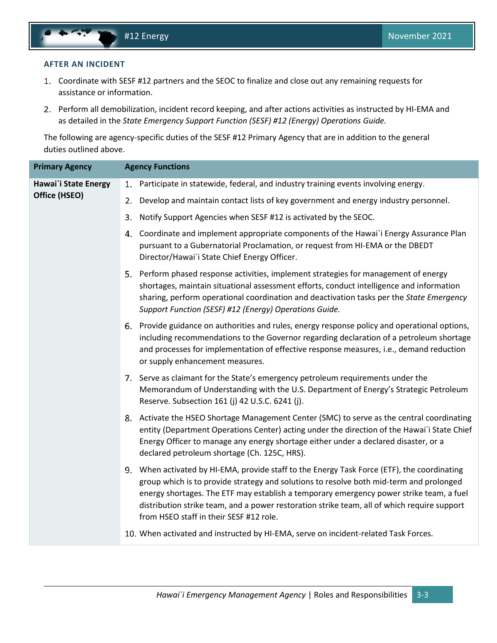#### **AFTER AN INCIDENT**

- Coordinate with SESF #12 partners and the SEOC to finalize and close out any remaining requests for assistance or information.
- Perform all demobilization, incident record keeping, and after actions activities as instructed by HI-EMA and as detailed in the *State Emergency Support Function (SESF) #12 (Energy) Operations Guide.*

The following are agency-specific duties of the SESF #12 Primary Agency that are in addition to the general duties outlined above.

| <b>Primary Agency</b> | <b>Agency Functions</b>                                                                                                                                                                                                                                                                                                                                                                                                     |
|-----------------------|-----------------------------------------------------------------------------------------------------------------------------------------------------------------------------------------------------------------------------------------------------------------------------------------------------------------------------------------------------------------------------------------------------------------------------|
| Hawai'i State Energy  | Participate in statewide, federal, and industry training events involving energy.<br>1.                                                                                                                                                                                                                                                                                                                                     |
| Office (HSEO)         | Develop and maintain contact lists of key government and energy industry personnel.<br>2.                                                                                                                                                                                                                                                                                                                                   |
|                       | Notify Support Agencies when SESF #12 is activated by the SEOC.<br>3.                                                                                                                                                                                                                                                                                                                                                       |
|                       | Coordinate and implement appropriate components of the Hawai`i Energy Assurance Plan<br>4.<br>pursuant to a Gubernatorial Proclamation, or request from HI-EMA or the DBEDT<br>Director/Hawai'i State Chief Energy Officer.                                                                                                                                                                                                 |
|                       | Perform phased response activities, implement strategies for management of energy<br>5.<br>shortages, maintain situational assessment efforts, conduct intelligence and information<br>sharing, perform operational coordination and deactivation tasks per the State Emergency<br>Support Function (SESF) #12 (Energy) Operations Guide.                                                                                   |
|                       | 6. Provide guidance on authorities and rules, energy response policy and operational options,<br>including recommendations to the Governor regarding declaration of a petroleum shortage<br>and processes for implementation of effective response measures, i.e., demand reduction<br>or supply enhancement measures.                                                                                                      |
|                       | 7. Serve as claimant for the State's emergency petroleum requirements under the<br>Memorandum of Understanding with the U.S. Department of Energy's Strategic Petroleum<br>Reserve. Subsection 161 (j) 42 U.S.C. 6241 (j).                                                                                                                                                                                                  |
|                       | 8. Activate the HSEO Shortage Management Center (SMC) to serve as the central coordinating<br>entity (Department Operations Center) acting under the direction of the Hawai'i State Chief<br>Energy Officer to manage any energy shortage either under a declared disaster, or a<br>declared petroleum shortage (Ch. 125C, HRS).                                                                                            |
|                       | 9. When activated by HI-EMA, provide staff to the Energy Task Force (ETF), the coordinating<br>group which is to provide strategy and solutions to resolve both mid-term and prolonged<br>energy shortages. The ETF may establish a temporary emergency power strike team, a fuel<br>distribution strike team, and a power restoration strike team, all of which require support<br>from HSEO staff in their SESF #12 role. |
|                       | 10. When activated and instructed by HI-EMA, serve on incident-related Task Forces.                                                                                                                                                                                                                                                                                                                                         |
|                       |                                                                                                                                                                                                                                                                                                                                                                                                                             |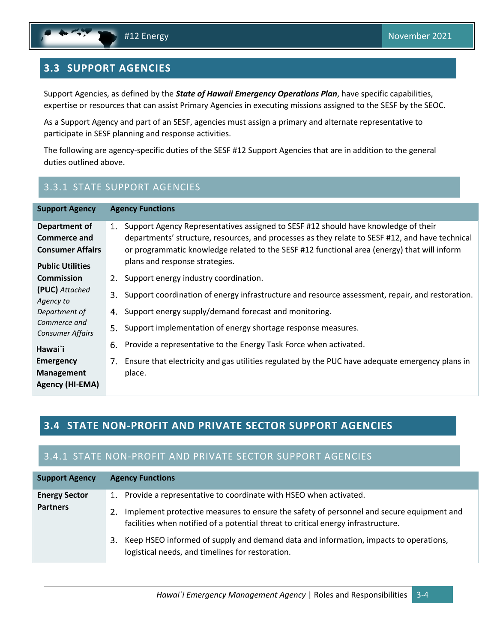## <span id="page-11-2"></span><span id="page-11-0"></span>**3.3 SUPPORT AGENCIES**

Support Agencies, as defined by the *State of Hawaii Emergency Operations Plan*, have specific capabilities, expertise or resources that can assist Primary Agencies in executing missions assigned to the SESF by the SEOC.

As a Support Agency and part of an SESF, agencies must assign a primary and alternate representative to participate in SESF planning and response activities.

The following are agency-specific duties of the SESF #12 Support Agencies that are in addition to the general duties outlined above.

## 3.3.1 STATE SUPPORT AGENCIES

| <b>Support Agency</b>                                                                                                                                                                      | <b>Agency Functions</b>                                                                                                                                                                                                                                                                                                                                                                                                                                                              |  |
|--------------------------------------------------------------------------------------------------------------------------------------------------------------------------------------------|--------------------------------------------------------------------------------------------------------------------------------------------------------------------------------------------------------------------------------------------------------------------------------------------------------------------------------------------------------------------------------------------------------------------------------------------------------------------------------------|--|
| Department of<br>Commerce and<br><b>Consumer Affairs</b><br><b>Public Utilities</b>                                                                                                        | Support Agency Representatives assigned to SESF #12 should have knowledge of their<br>1.<br>departments' structure, resources, and processes as they relate to SESF #12, and have technical<br>or programmatic knowledge related to the SESF #12 functional area (energy) that will inform<br>plans and response strategies.                                                                                                                                                         |  |
| <b>Commission</b><br>(PUC) Attached<br>Agency to<br>Department of<br>Commerce and<br><b>Consumer Affairs</b><br>Hawai`i<br><b>Emergency</b><br><b>Management</b><br><b>Agency (HI-EMA)</b> | 2. Support energy industry coordination.<br>Support coordination of energy infrastructure and resource assessment, repair, and restoration.<br>3.<br>Support energy supply/demand forecast and monitoring.<br>4.<br>Support implementation of energy shortage response measures.<br>5.<br>Provide a representative to the Energy Task Force when activated.<br>6.<br>Ensure that electricity and gas utilities regulated by the PUC have adequate emergency plans in<br>7.<br>place. |  |

### <span id="page-11-1"></span>**3.4 STATE NON-PROFIT AND PRIVATE SECTOR SUPPORT AGENCIES**

## 3.4.1 STATE NON-PROFIT AND PRIVATE SECTOR SUPPORT AGENCIES

| <b>Support Agency</b> | <b>Agency Functions</b>                                                                                                                                                             |  |
|-----------------------|-------------------------------------------------------------------------------------------------------------------------------------------------------------------------------------|--|
| <b>Energy Sector</b>  | 1. Provide a representative to coordinate with HSEO when activated.                                                                                                                 |  |
| <b>Partners</b>       | Implement protective measures to ensure the safety of personnel and secure equipment and<br>2.<br>facilities when notified of a potential threat to critical energy infrastructure. |  |
|                       | 3. Keep HSEO informed of supply and demand data and information, impacts to operations,<br>logistical needs, and timelines for restoration.                                         |  |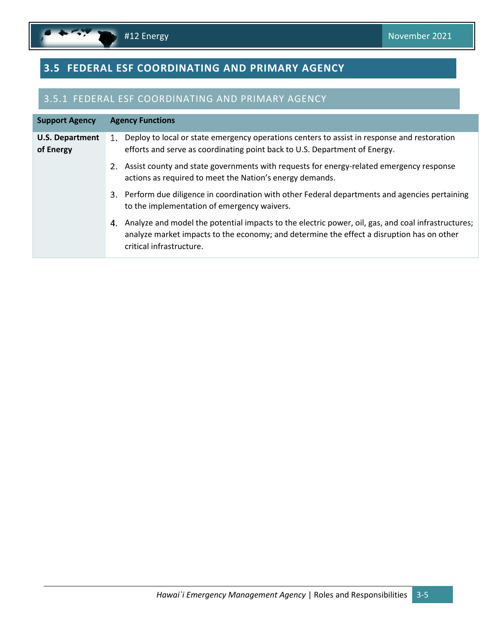$\mathbf{r}$ 

## <span id="page-12-1"></span><span id="page-12-0"></span>**3.5 FEDERAL ESF COORDINATING AND PRIMARY AGENCY**

### 3.5.1 FEDERAL ESF COORDINATING AND PRIMARY AGENCY

| <b>Support Agency</b>               |    | <b>Agency Functions</b>                                                                                                                                                                                                     |
|-------------------------------------|----|-----------------------------------------------------------------------------------------------------------------------------------------------------------------------------------------------------------------------------|
| <b>U.S. Department</b><br>of Energy | 1. | Deploy to local or state emergency operations centers to assist in response and restoration<br>efforts and serve as coordinating point back to U.S. Department of Energy.                                                   |
|                                     |    | 2. Assist county and state governments with requests for energy-related emergency response<br>actions as required to meet the Nation's energy demands.                                                                      |
|                                     |    | 3. Perform due diligence in coordination with other Federal departments and agencies pertaining<br>to the implementation of emergency waivers.                                                                              |
|                                     | 4. | Analyze and model the potential impacts to the electric power, oil, gas, and coal infrastructures;<br>analyze market impacts to the economy; and determine the effect a disruption has on other<br>critical infrastructure. |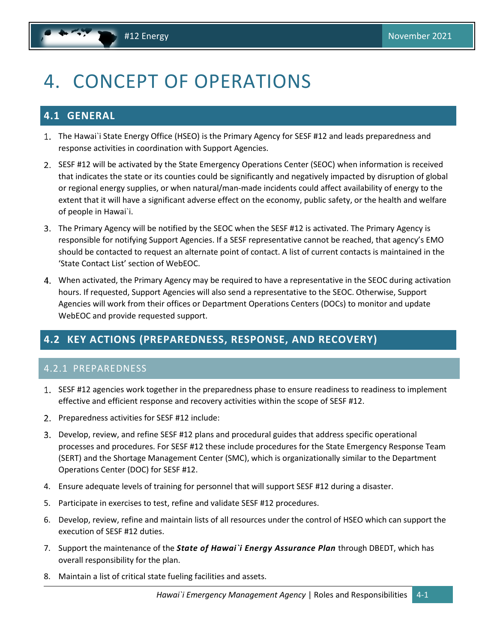# <span id="page-13-3"></span><span id="page-13-0"></span>4. CONCEPT OF OPERATIONS

## <span id="page-13-1"></span>**4.1 GENERAL**

- The Hawai`i State Energy Office (HSEO) is the Primary Agency for SESF #12 and leads preparedness and response activities in coordination with Support Agencies.
- 2. SESF #12 will be activated by the State Emergency Operations Center (SEOC) when information is received that indicates the state or its counties could be significantly and negatively impacted by disruption of global or regional energy supplies, or when natural/man-made incidents could affect availability of energy to the extent that it will have a significant adverse effect on the economy, public safety, or the health and welfare of people in Hawai`i.
- The Primary Agency will be notified by the SEOC when the SESF #12 is activated. The Primary Agency is responsible for notifying Support Agencies. If a SESF representative cannot be reached, that agency's EMO should be contacted to request an alternate point of contact. A list of current contacts is maintained in the 'State Contact List' section of WebEOC.
- When activated, the Primary Agency may be required to have a representative in the SEOC during activation hours. If requested, Support Agencies will also send a representative to the SEOC. Otherwise, Support Agencies will work from their offices or Department Operations Centers (DOCs) to monitor and update WebEOC and provide requested support.

## <span id="page-13-2"></span>**4.2 KEY ACTIONS (PREPAREDNESS, RESPONSE, AND RECOVERY)**

### 4.2.1 PREPAREDNESS

- 1. SESF #12 agencies work together in the preparedness phase to ensure readiness to readiness to implement effective and efficient response and recovery activities within the scope of SESF #12.
- 2. Preparedness activities for SESF #12 include:
- Develop, review, and refine SESF #12 plans and procedural guides that address specific operational processes and procedures. For SESF #12 these include procedures for the State Emergency Response Team (SERT) and the Shortage Management Center (SMC), which is organizationally similar to the Department Operations Center (DOC) for SESF #12.
- 4. Ensure adequate levels of training for personnel that will support SESF #12 during a disaster.
- 5. Participate in exercises to test, refine and validate SESF #12 procedures.
- 6. Develop, review, refine and maintain lists of all resources under the control of HSEO which can support the execution of SESF #12 duties.
- 7. Support the maintenance of the *State of Hawai`i Energy Assurance Plan* through DBEDT, which has overall responsibility for the plan.
- 8. Maintain a list of critical state fueling facilities and assets.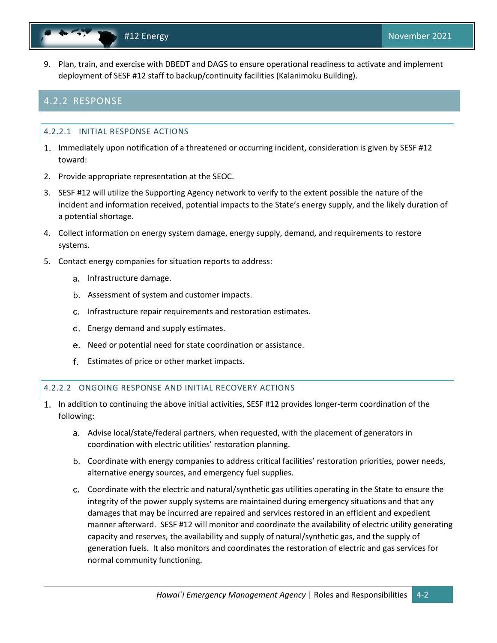- 
- 9. Plan, train, and exercise with DBEDT and DAGS to ensure operational readiness to activate and implement deployment of SESF #12 staff to backup/continuity facilities (Kalanimoku Building).

### 4.2.2 RESPONSE

### 4.2.2.1 INITIAL RESPONSE ACTIONS

- 1. Immediately upon notification of a threatened or occurring incident, consideration is given by SESF #12 toward:
- 2. Provide appropriate representation at the SEOC.
- 3. SESF #12 will utilize the Supporting Agency network to verify to the extent possible the nature of the incident and information received, potential impacts to the State's energy supply, and the likely duration of a potential shortage.
- 4. Collect information on energy system damage, energy supply, demand, and requirements to restore systems.
- 5. Contact energy companies for situation reports to address:
	- a. Infrastructure damage.
	- b. Assessment of system and customer impacts.
	- c. Infrastructure repair requirements and restoration estimates.
	- d. Energy demand and supply estimates.
	- Need or potential need for state coordination or assistance.
	- Estimates of price or other market impacts.

### 4.2.2.2 ONGOING RESPONSE AND INITIAL RECOVERY ACTIONS

- In addition to continuing the above initial activities, SESF #12 provides longer-term coordination of the following:
	- a. Advise local/state/federal partners, when requested, with the placement of generators in coordination with electric utilities' restoration planning.
	- Coordinate with energy companies to address critical facilities' restoration priorities, power needs, alternative energy sources, and emergency fuel supplies.
	- Coordinate with the electric and natural/synthetic gas utilities operating in the State to ensure the integrity of the power supply systems are maintained during emergency situations and that any damages that may be incurred are repaired and services restored in an efficient and expedient manner afterward. SESF #12 will monitor and coordinate the availability of electric utility generating capacity and reserves, the availability and supply of natural/synthetic gas, and the supply of generation fuels. It also monitors and coordinates the restoration of electric and gas services for normal community functioning.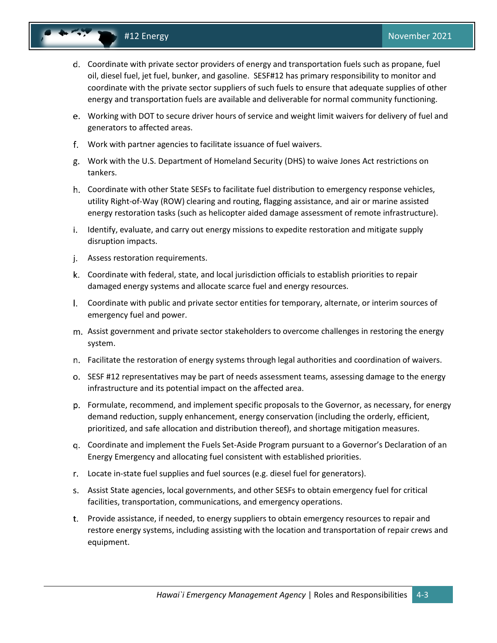

- Coordinate with private sector providers of energy and transportation fuels such as propane, fuel oil, diesel fuel, jet fuel, bunker, and gasoline. SESF#12 has primary responsibility to monitor and coordinate with the private sector suppliers of such fuels to ensure that adequate supplies of other energy and transportation fuels are available and deliverable for normal community functioning.
- Working with DOT to secure driver hours of service and weight limit waivers for delivery of fuel and generators to affected areas.
- Work with partner agencies to facilitate issuance of fuel waivers.
- Work with the U.S. Department of Homeland Security (DHS) to waive Jones Act restrictions on tankers.
- Coordinate with other State SESFs to facilitate fuel distribution to emergency response vehicles, utility Right-of-Way (ROW) clearing and routing, flagging assistance, and air or marine assisted energy restoration tasks (such as helicopter aided damage assessment of remote infrastructure).
- i. Identify, evaluate, and carry out energy missions to expedite restoration and mitigate supply disruption impacts.
- j. Assess restoration requirements.
- Coordinate with federal, state, and local jurisdiction officials to establish priorities to repair damaged energy systems and allocate scarce fuel and energy resources.
- Coordinate with public and private sector entities for temporary, alternate, or interim sources of emergency fuel and power.
- Assist government and private sector stakeholders to overcome challenges in restoring the energy system.
- Facilitate the restoration of energy systems through legal authorities and coordination of waivers.
- o. SESF #12 representatives may be part of needs assessment teams, assessing damage to the energy infrastructure and its potential impact on the affected area.
- Formulate, recommend, and implement specific proposals to the Governor, as necessary, for energy demand reduction, supply enhancement, energy conservation (including the orderly, efficient, prioritized, and safe allocation and distribution thereof), and shortage mitigation measures.
- Coordinate and implement the Fuels Set-Aside Program pursuant to a Governor's Declaration of an Energy Emergency and allocating fuel consistent with established priorities.
- Locate in-state fuel supplies and fuel sources (e.g. diesel fuel for generators).
- Assist State agencies, local governments, and other SESFs to obtain emergency fuel for critical facilities, transportation, communications, and emergency operations.
- Provide assistance, if needed, to energy suppliers to obtain emergency resources to repair and restore energy systems, including assisting with the location and transportation of repair crews and equipment.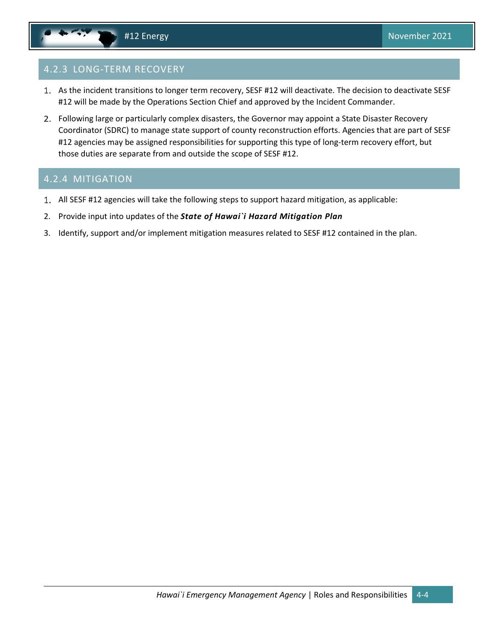### 4.2.3 LONG-TERM RECOVERY

- 1. As the incident transitions to longer term recovery, SESF #12 will deactivate. The decision to deactivate SESF #12 will be made by the Operations Section Chief and approved by the Incident Commander.
- Following large or particularly complex disasters, the Governor may appoint a State Disaster Recovery Coordinator (SDRC) to manage state support of county reconstruction efforts. Agencies that are part of SESF #12 agencies may be assigned responsibilities for supporting this type of long-term recovery effort, but those duties are separate from and outside the scope of SESF #12.

### 4.2.4 MITIGATION

- All SESF #12 agencies will take the following steps to support hazard mitigation, as applicable:
- 2. Provide input into updates of the *State of Hawai`i Hazard Mitigation Plan*
- 3. Identify, support and/or implement mitigation measures related to SESF #12 contained in the plan.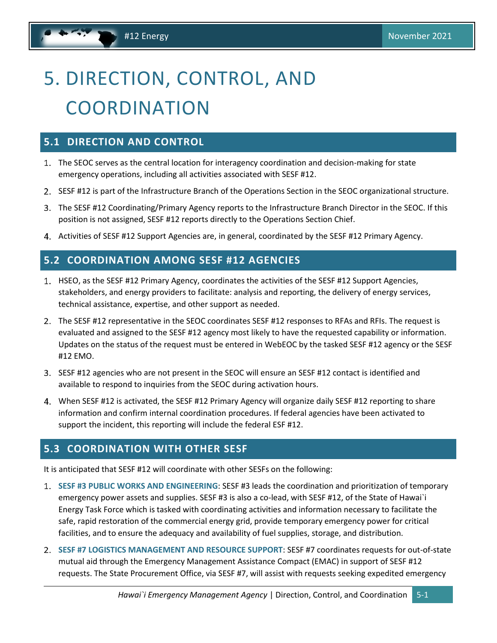# <span id="page-17-4"></span><span id="page-17-0"></span>5. DIRECTION, CONTROL, AND **COORDINATION**

### <span id="page-17-1"></span>**5.1 DIRECTION AND CONTROL**

- 1. The SEOC serves as the central location for interagency coordination and decision-making for state emergency operations, including all activities associated with SESF #12.
- 2. SESF #12 is part of the Infrastructure Branch of the Operations Section in the SEOC organizational structure.
- The SESF #12 Coordinating/Primary Agency reports to the Infrastructure Branch Director in the SEOC. If this position is not assigned, SESF #12 reports directly to the Operations Section Chief.
- Activities of SESF #12 Support Agencies are, in general, coordinated by the SESF #12 Primary Agency.

### <span id="page-17-2"></span>**5.2 COORDINATION AMONG SESF #12 AGENCIES**

- 1. HSEO, as the SESF #12 Primary Agency, coordinates the activities of the SESF #12 Support Agencies, stakeholders, and energy providers to facilitate: analysis and reporting, the delivery of energy services, technical assistance, expertise, and other support as needed.
- The SESF #12 representative in the SEOC coordinates SESF #12 responses to RFAs and RFIs. The request is evaluated and assigned to the SESF #12 agency most likely to have the requested capability or information. Updates on the status of the request must be entered in WebEOC by the tasked SESF #12 agency or the SESF #12 EMO.
- SESF #12 agencies who are not present in the SEOC will ensure an SESF #12 contact is identified and available to respond to inquiries from the SEOC during activation hours.
- When SESF #12 is activated, the SESF #12 Primary Agency will organize daily SESF #12 reporting to share information and confirm internal coordination procedures. If federal agencies have been activated to support the incident, this reporting will include the federal ESF #12.

### <span id="page-17-3"></span>**5.3 COORDINATION WITH OTHER SESF**

It is anticipated that SESF #12 will coordinate with other SESFs on the following:

- **SESF #3 PUBLIC WORKS AND ENGINEERING**: SESF #3 leads the coordination and prioritization of temporary emergency power assets and supplies. SESF #3 is also a co-lead, with SESF #12, of the State of Hawai`i Energy Task Force which is tasked with coordinating activities and information necessary to facilitate the safe, rapid restoration of the commercial energy grid, provide temporary emergency power for critical facilities, and to ensure the adequacy and availability of fuel supplies, storage, and distribution.
- **SESF #7 LOGISTICS MANAGEMENT AND RESOURCE SUPPORT**: SESF #7 coordinates requests for out-of-state mutual aid through the Emergency Management Assistance Compact (EMAC) in support of SESF #12 requests. The State Procurement Office, via SESF #7, will assist with requests seeking expedited emergency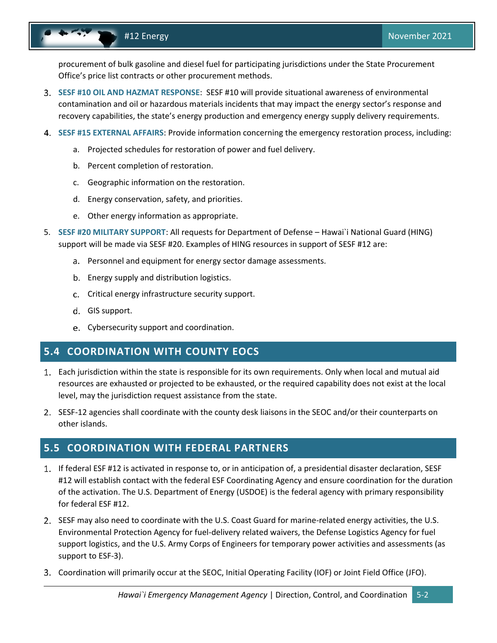<span id="page-18-2"></span>procurement of bulk gasoline and diesel fuel for participating jurisdictions under the State Procurement Office's price list contracts or other procurement methods.

- **SESF #10 OIL AND HAZMAT RESPONSE**: SESF #10 will provide situational awareness of environmental contamination and oil or hazardous materials incidents that may impact the energy sector's response and recovery capabilities, the state's energy production and emergency energy supply delivery requirements.
- **SESF #15 EXTERNAL AFFAIRS**: Provide information concerning the emergency restoration process, including:
	- a. Projected schedules for restoration of power and fuel delivery.
	- b. Percent completion of restoration.
	- c. Geographic information on the restoration.
	- d. Energy conservation, safety, and priorities.
	- e. Other energy information as appropriate.
- 5. **SESF #20 MILITARY SUPPORT**: All requests for Department of Defense Hawai`i National Guard (HING) support will be made via SESF #20. Examples of HING resources in support of SESF #12 are:
	- a. Personnel and equipment for energy sector damage assessments.
	- b. Energy supply and distribution logistics.
	- Critical energy infrastructure security support.
	- d. GIS support.
	- Cybersecurity support and coordination.

### <span id="page-18-0"></span>**5.4 COORDINATION WITH COUNTY EOCS**

- Each jurisdiction within the state is responsible for its own requirements. Only when local and mutual aid resources are exhausted or projected to be exhausted, or the required capability does not exist at the local level, may the jurisdiction request assistance from the state.
- 2. SESF-12 agencies shall coordinate with the county desk liaisons in the SEOC and/or their counterparts on other islands.

### <span id="page-18-1"></span>**5.5 COORDINATION WITH FEDERAL PARTNERS**

- 1. If federal ESF #12 is activated in response to, or in anticipation of, a presidential disaster declaration, SESF #12 will establish contact with the federal ESF Coordinating Agency and ensure coordination for the duration of the activation. The U.S. Department of Energy (USDOE) is the federal agency with primary responsibility for federal ESF #12.
- 2. SESF may also need to coordinate with the U.S. Coast Guard for marine-related energy activities, the U.S. Environmental Protection Agency for fuel-delivery related waivers, the Defense Logistics Agency for fuel support logistics, and the U.S. Army Corps of Engineers for temporary power activities and assessments (as support to ESF-3).
- Coordination will primarily occur at the SEOC, Initial Operating Facility (IOF) or Joint Field Office (JFO).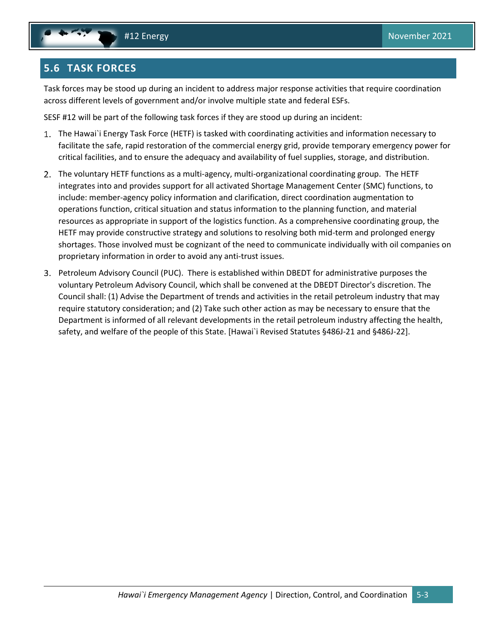## <span id="page-19-1"></span><span id="page-19-0"></span>**5.6 TASK FORCES**

Task forces may be stood up during an incident to address major response activities that require coordination across different levels of government and/or involve multiple state and federal ESFs.

SESF #12 will be part of the following task forces if they are stood up during an incident:

- The Hawai`i Energy Task Force (HETF) is tasked with coordinating activities and information necessary to facilitate the safe, rapid restoration of the commercial energy grid, provide temporary emergency power for critical facilities, and to ensure the adequacy and availability of fuel supplies, storage, and distribution.
- The voluntary HETF functions as a multi-agency, multi-organizational coordinating group. The HETF integrates into and provides support for all activated Shortage Management Center (SMC) functions, to include: member-agency policy information and clarification, direct coordination augmentation to operations function, critical situation and status information to the planning function, and material resources as appropriate in support of the logistics function. As a comprehensive coordinating group, the HETF may provide constructive strategy and solutions to resolving both mid-term and prolonged energy shortages. Those involved must be cognizant of the need to communicate individually with oil companies on proprietary information in order to avoid any anti-trust issues.
- Petroleum Advisory Council (PUC). There is established within DBEDT for administrative purposes the voluntary Petroleum Advisory Council, which shall be convened at the DBEDT Director's discretion. The Council shall: (1) Advise the Department of trends and activities in the retail petroleum industry that may require statutory consideration; and (2) Take such other action as may be necessary to ensure that the Department is informed of all relevant developments in the retail petroleum industry affecting the health, safety, and welfare of the people of this State. [Hawai`i Revised Statutes §486J-21 and §486J-22].